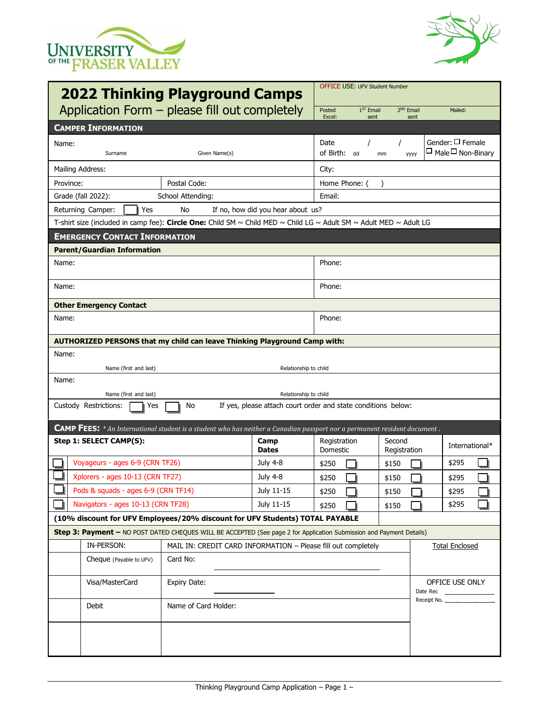



| <b>2022 Thinking Playground Camps</b>                                                                                |                                                                                                                                  |                                                                                        |                          | <b>OFFICE USE: UFV Student Number</b> |                               |                                                           |  |
|----------------------------------------------------------------------------------------------------------------------|----------------------------------------------------------------------------------------------------------------------------------|----------------------------------------------------------------------------------------|--------------------------|---------------------------------------|-------------------------------|-----------------------------------------------------------|--|
| Application Form - please fill out completely                                                                        |                                                                                                                                  |                                                                                        | Posted<br>Excel:         | $1ST$ Email<br>sent                   | 2 <sup>ND</sup> Email<br>sent | Mailed:                                                   |  |
| <b>CAMPER INFORMATION</b>                                                                                            |                                                                                                                                  |                                                                                        |                          |                                       |                               |                                                           |  |
| Name:<br>Surname                                                                                                     | Given Name(s)                                                                                                                    |                                                                                        | Date<br>of Birth: dd     | mm                                    | yyyy                          | Gender: $\square$ Female<br>$\Box$ Male $\Box$ Non-Binary |  |
| Mailing Address:                                                                                                     |                                                                                                                                  |                                                                                        | City:                    |                                       |                               |                                                           |  |
| Province:                                                                                                            | Postal Code:                                                                                                                     |                                                                                        |                          | Home Phone: (                         |                               |                                                           |  |
| Grade (fall 2022):                                                                                                   | School Attending:                                                                                                                | Email:                                                                                 |                          |                                       |                               |                                                           |  |
| Returning Camper:<br>Yes                                                                                             | If no, how did you hear about us?                                                                                                |                                                                                        |                          |                                       |                               |                                                           |  |
| T-shirt size (included in camp fee): Circle One: Child SM ~ Child MED ~ Child LG ~ Adult SM ~ Adult MED ~ Adult LG   |                                                                                                                                  |                                                                                        |                          |                                       |                               |                                                           |  |
| <b>EMERGENCY CONTACT INFORMATION</b>                                                                                 |                                                                                                                                  |                                                                                        |                          |                                       |                               |                                                           |  |
| <b>Parent/Guardian Information</b>                                                                                   |                                                                                                                                  |                                                                                        |                          |                                       |                               |                                                           |  |
| Name:                                                                                                                |                                                                                                                                  |                                                                                        | Phone:                   |                                       |                               |                                                           |  |
| Name:                                                                                                                |                                                                                                                                  |                                                                                        | Phone:                   |                                       |                               |                                                           |  |
| <b>Other Emergency Contact</b>                                                                                       |                                                                                                                                  |                                                                                        |                          |                                       |                               |                                                           |  |
| Name:                                                                                                                |                                                                                                                                  |                                                                                        | Phone:                   |                                       |                               |                                                           |  |
| AUTHORIZED PERSONS that my child can leave Thinking Playground Camp with:                                            |                                                                                                                                  |                                                                                        |                          |                                       |                               |                                                           |  |
| Name:                                                                                                                |                                                                                                                                  |                                                                                        |                          |                                       |                               |                                                           |  |
| Name (first and last)                                                                                                |                                                                                                                                  | Relationship to child                                                                  |                          |                                       |                               |                                                           |  |
| Name:<br>Name (first and last)<br>Relationship to child                                                              |                                                                                                                                  |                                                                                        |                          |                                       |                               |                                                           |  |
| Custody Restrictions:<br>No<br>If yes, please attach court order and state conditions below:<br>Yes                  |                                                                                                                                  |                                                                                        |                          |                                       |                               |                                                           |  |
|                                                                                                                      | <b>CAMP FEES:</b> * An International student is a student who has neither a Canadian passport nor a permanent resident document. |                                                                                        |                          |                                       |                               |                                                           |  |
| Step 1: SELECT CAMP(S):                                                                                              |                                                                                                                                  | Camp<br><b>Dates</b>                                                                   | Registration<br>Domestic |                                       | Second<br>Registration        | International*                                            |  |
| Voyageurs - ages 6-9 (CRN TF26)                                                                                      |                                                                                                                                  | <b>July 4-8</b>                                                                        | \$250                    |                                       | \$150                         | \$295                                                     |  |
| Xplorers - ages 10-13 (CRN TF27)                                                                                     |                                                                                                                                  | <b>July 4-8</b>                                                                        | \$250                    |                                       | \$150                         | \$295                                                     |  |
| Pods & squads - ages 6-9 (CRN TF14)                                                                                  |                                                                                                                                  | July 11-15                                                                             | \$250                    |                                       | \$150                         | \$295                                                     |  |
| Navigators - ages 10-13 (CRN TF28)                                                                                   |                                                                                                                                  | July 11-15                                                                             | \$250                    |                                       | \$150                         | \$295                                                     |  |
| (10% discount for UFV Employees/20% discount for UFV Students) TOTAL PAYABLE                                         |                                                                                                                                  |                                                                                        |                          |                                       |                               |                                                           |  |
| Step 3: Payment - NO POST DATED CHEQUES WILL BE ACCEPTED (See page 2 for Application Submission and Payment Details) |                                                                                                                                  |                                                                                        |                          |                                       |                               |                                                           |  |
| IN-PERSON:                                                                                                           |                                                                                                                                  | MAIL IN: CREDIT CARD INFORMATION - Please fill out completely<br><b>Total Enclosed</b> |                          |                                       |                               |                                                           |  |
| Cheque (Payable to UFV)                                                                                              | Card No:                                                                                                                         |                                                                                        |                          |                                       |                               |                                                           |  |
| Visa/MasterCard                                                                                                      | <b>Expiry Date:</b>                                                                                                              | Date Rec                                                                               |                          |                                       |                               | OFFICE USE ONLY                                           |  |
| Debit                                                                                                                |                                                                                                                                  | Receipt No.<br>Name of Card Holder:                                                    |                          |                                       |                               |                                                           |  |
|                                                                                                                      |                                                                                                                                  |                                                                                        |                          |                                       |                               |                                                           |  |
|                                                                                                                      |                                                                                                                                  |                                                                                        |                          |                                       |                               |                                                           |  |
|                                                                                                                      |                                                                                                                                  |                                                                                        |                          |                                       |                               |                                                           |  |
|                                                                                                                      |                                                                                                                                  |                                                                                        |                          |                                       |                               |                                                           |  |